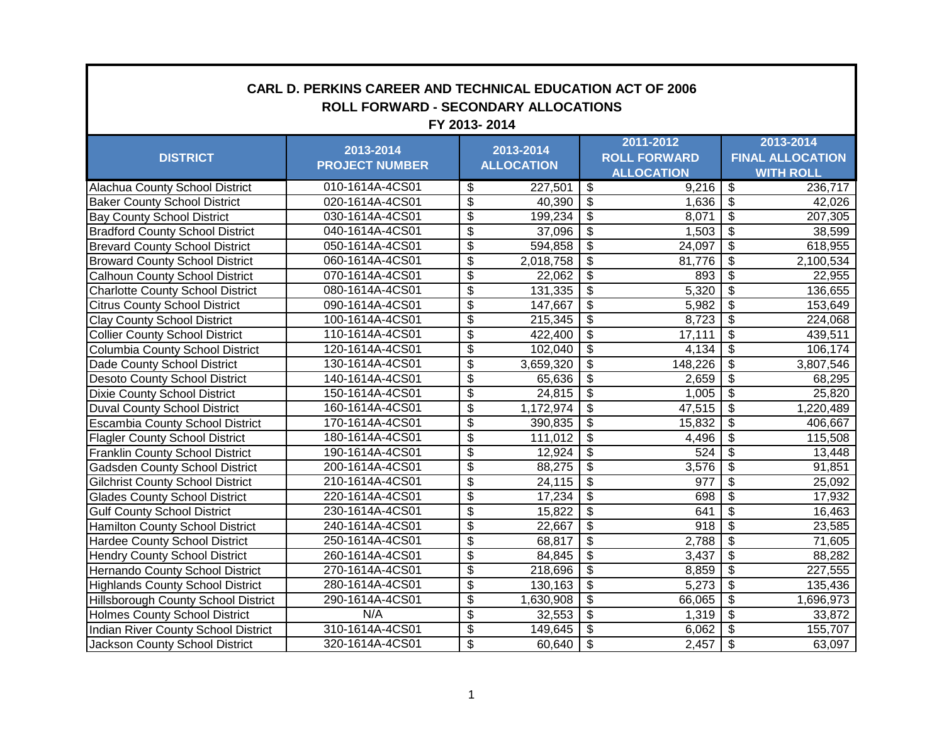| <b>CARL D. PERKINS CAREER AND TECHNICAL EDUCATION ACT OF 2006</b><br><b>ROLL FORWARD - SECONDARY ALLOCATIONS</b><br>FY 2013-2014 |                       |                                        |                   |                                        |                     |                          |                         |  |
|----------------------------------------------------------------------------------------------------------------------------------|-----------------------|----------------------------------------|-------------------|----------------------------------------|---------------------|--------------------------|-------------------------|--|
|                                                                                                                                  |                       |                                        |                   |                                        | 2011-2012           |                          | 2013-2014               |  |
| <b>DISTRICT</b>                                                                                                                  | 2013-2014             |                                        | 2013-2014         |                                        | <b>ROLL FORWARD</b> |                          | <b>FINAL ALLOCATION</b> |  |
|                                                                                                                                  | <b>PROJECT NUMBER</b> |                                        | <b>ALLOCATION</b> |                                        | <b>ALLOCATION</b>   |                          | <b>WITH ROLL</b>        |  |
| Alachua County School District                                                                                                   | 010-1614A-4CS01       | $\overline{\mathbf{S}}$                | 227,501           | $\overline{\boldsymbol{\mathfrak{s}}}$ | 9,216               | $\overline{\$}$          | 236,717                 |  |
| <b>Baker County School District</b>                                                                                              | 020-1614A-4CS01       | $\overline{\$}$                        | 40,390            | $\overline{\mathcal{S}}$               | 1,636               | $\frac{1}{2}$            | 42,026                  |  |
| <b>Bay County School District</b>                                                                                                | 030-1614A-4CS01       | $\overline{\$}$                        | 199,234           | $\overline{\mathcal{S}}$               | 8,071               | $\overline{\$}$          | 207,305                 |  |
| <b>Bradford County School District</b>                                                                                           | 040-1614A-4CS01       | $\overline{\boldsymbol{\mathfrak{s}}}$ | 37,096            | $\overline{\$}$                        | 1,503               | $\overline{\mathcal{S}}$ | 38,599                  |  |
| <b>Brevard County School District</b>                                                                                            | 050-1614A-4CS01       | $\overline{\mathbf{3}}$                | 594,858           | $\overline{\mathbf{3}}$                | 24,097              | $\overline{\mathcal{S}}$ | 618,955                 |  |
| <b>Broward County School District</b>                                                                                            | 060-1614A-4CS01       | \$                                     | 2,018,758         | $\overline{\mathbf{3}}$                | 81,776              | $\overline{\mathcal{S}}$ | 2,100,534               |  |
| <b>Calhoun County School District</b>                                                                                            | 070-1614A-4CS01       | \$                                     | 22,062            | $\overline{\mathcal{S}}$               | 893                 | $\overline{\mathcal{S}}$ | 22,955                  |  |
| <b>Charlotte County School District</b>                                                                                          | 080-1614A-4CS01       | \$                                     | 131,335           | $\overline{\mathbf{3}}$                | 5,320               | \$                       | 136,655                 |  |
| <b>Citrus County School District</b>                                                                                             | 090-1614A-4CS01       | $\overline{\mathbf{3}}$                | 147,667           | $\boldsymbol{\mathsf{S}}$              | 5,982               | \$                       | 153,649                 |  |
| <b>Clay County School District</b>                                                                                               | 100-1614A-4CS01       | $\overline{\$}$                        | 215,345           | $\overline{\mathcal{F}}$               | 8,723               | \$                       | 224,068                 |  |
| <b>Collier County School District</b>                                                                                            | 110-1614A-4CS01       | $\overline{\$}$                        | 422,400           | $\overline{\mathcal{S}}$               | 17,111              | $\overline{\$}$          | 439,511                 |  |
| Columbia County School District                                                                                                  | 120-1614A-4CS01       | $\overline{\$}$                        | 102,040           | $\overline{\mathcal{S}}$               | 4,134               | $\overline{\$}$          | 106,174                 |  |
| Dade County School District                                                                                                      | 130-1614A-4CS01       | $\overline{\boldsymbol{\mathfrak{s}}}$ | 3,659,320         | $\overline{\$}$                        | 148,226             | $\overline{\mathbf{3}}$  | 3,807,546               |  |
| Desoto County School District                                                                                                    | 140-1614A-4CS01       | $\overline{\mathbf{3}}$                | 65,636            | $\overline{\mathbf{3}}$                | 2,659               | $\overline{\mathcal{S}}$ | 68,295                  |  |
| Dixie County School District                                                                                                     | 150-1614A-4CS01       | $\overline{\$}$                        | 24,815            | $\overline{\mathcal{F}}$               | 1,005               | \$                       | 25,820                  |  |
| <b>Duval County School District</b>                                                                                              | 160-1614A-4CS01       | $\overline{\mathbf{3}}$                | 1,172,974         | $\overline{\mathcal{S}}$               | 47,515              | $\overline{\mathcal{S}}$ | 1,220,489               |  |
| <b>Escambia County School District</b>                                                                                           | 170-1614A-4CS01       | $\overline{\boldsymbol{\mathfrak{s}}}$ | 390,835           | $\overline{\mathbf{3}}$                | 15,832              | \$                       | 406,667                 |  |
| <b>Flagler County School District</b>                                                                                            | 180-1614A-4CS01       | $\overline{\mathbf{3}}$                | 111,012           | $\overline{\mathbf{3}}$                | 4,496               | \$                       | 115,508                 |  |
| <b>Franklin County School District</b>                                                                                           | 190-1614A-4CS01       | $\overline{\boldsymbol{\theta}}$       | 12,924            | $\overline{\mathcal{F}}$               | 524                 | \$                       | 13,448                  |  |
| <b>Gadsden County School District</b>                                                                                            | 200-1614A-4CS01       | $\overline{\$}$                        | 88,275            | $\overline{\mathcal{S}}$               | $\overline{3,}576$  | $\overline{\$}$          | 91,851                  |  |
| <b>Gilchrist County School District</b>                                                                                          | 210-1614A-4CS01       | $\overline{\$}$                        | 24,115            | $\overline{\mathcal{S}}$               | 977                 | $\overline{\$}$          | 25,092                  |  |
| <b>Glades County School District</b>                                                                                             | 220-1614A-4CS01       | $\overline{\boldsymbol{\mathfrak{s}}}$ | 17,234            | $\overline{\$}$                        | 698                 | $\overline{\mathbf{3}}$  | 17,932                  |  |
| <b>Gulf County School District</b>                                                                                               | 230-1614A-4CS01       | $\overline{\mathbf{3}}$                | 15,822            | $\overline{\mathcal{F}}$               | 641                 | $\overline{\mathcal{S}}$ | 16,463                  |  |
| Hamilton County School District                                                                                                  | 240-1614A-4CS01       | $\overline{\$}$                        | 22,667            | $\overline{\mathcal{S}}$               | 918                 | $\overline{\mathcal{S}}$ | 23,585                  |  |
| <b>Hardee County School District</b>                                                                                             | 250-1614A-4CS01       | $\overline{\$}$                        | 68,817            | $\overline{\mathcal{F}}$               | 2,788               | $\overline{\$}$          | 71,605                  |  |
| <b>Hendry County School District</b>                                                                                             | 260-1614A-4CS01       | \$                                     | 84,845            | $\overline{\mathbf{3}}$                | 3,437               | $\overline{\mathcal{S}}$ | 88,282                  |  |
| Hernando County School District                                                                                                  | 270-1614A-4CS01       | $\overline{\$}$                        | 218,696           | $\overline{\mathbf{3}}$                | 8,859               | \$                       | 227,555                 |  |
| <b>Highlands County School District</b>                                                                                          | 280-1614A-4CS01       | $\overline{\$}$                        | 130,163           | $\overline{\mathcal{F}}$               | 5,273               | $\overline{\$}$          | 135,436                 |  |
| Hillsborough County School District                                                                                              | 290-1614A-4CS01       | \$                                     | 1,630,908         | $\overline{\mathcal{S}}$               | 66,065              | $\overline{\$}$          | 1,696,973               |  |
| <b>Holmes County School District</b>                                                                                             | N/A                   | \$                                     | 32,553            | $\overline{\mathbf{3}}$                | 1,319               | $\overline{\mathbf{S}}$  | 33,872                  |  |
| Indian River County School District                                                                                              | 310-1614A-4CS01       | $\overline{\mathbf{3}}$                | 149,645           | $\overline{\mathbf{3}}$                | 6,062               | \$                       | 155,707                 |  |
| Jackson County School District                                                                                                   | 320-1614A-4CS01       | $\overline{\$}$                        | 60,640            | $\overline{\mathcal{S}}$               | 2,457               | \$                       | 63,097                  |  |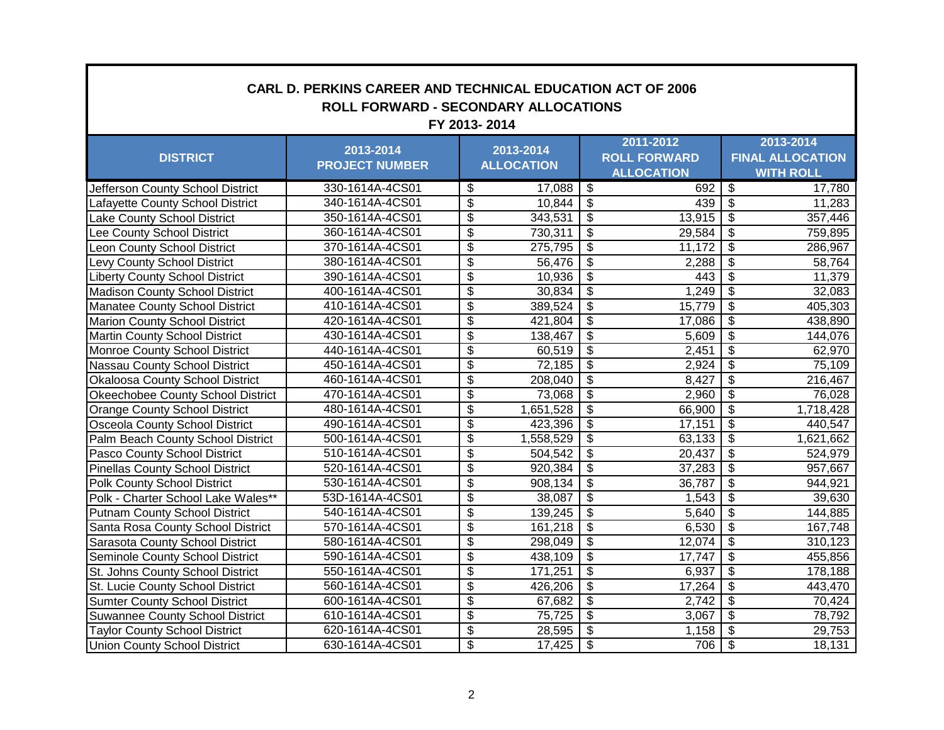| <b>CARL D. PERKINS CAREER AND TECHNICAL EDUCATION ACT OF 2006</b><br>ROLL FORWARD - SECONDARY ALLOCATIONS<br>FY 2013-2014 |                                                 |                          |                   |                          |                     |                                        |                         |  |
|---------------------------------------------------------------------------------------------------------------------------|-------------------------------------------------|--------------------------|-------------------|--------------------------|---------------------|----------------------------------------|-------------------------|--|
|                                                                                                                           | 2013-2014<br>2013-2014<br><b>PROJECT NUMBER</b> |                          |                   | 2011-2012                |                     |                                        | 2013-2014               |  |
| <b>DISTRICT</b>                                                                                                           |                                                 |                          | <b>ALLOCATION</b> |                          | <b>ROLL FORWARD</b> |                                        | <b>FINAL ALLOCATION</b> |  |
|                                                                                                                           |                                                 |                          |                   |                          | <b>ALLOCATION</b>   |                                        | <b>WITH ROLL</b>        |  |
| Jefferson County School District                                                                                          | 330-1614A-4CS01                                 | \$                       | 17,088            | \$                       | 692                 | $\overline{\boldsymbol{\mathfrak{s}}}$ | 17,780                  |  |
| Lafayette County School District                                                                                          | 340-1614A-4CS01                                 | $\overline{\mathcal{S}}$ | 10,844            | \$                       | 439                 | $\overline{\mathbf{s}}$                | 11,283                  |  |
| Lake County School District                                                                                               | 350-1614A-4CS01                                 | $\overline{\mathcal{G}}$ | 343,531           | $\overline{\mathbf{S}}$  | 13,915              | $\overline{\mathbf{3}}$                | 357,446                 |  |
| Lee County School District                                                                                                | 360-1614A-4CS01                                 | $\overline{\mathcal{E}}$ | 730,311           | $\overline{\$}$          | 29,584              | $\overline{\mathbf{s}}$                | 759,895                 |  |
| Leon County School District                                                                                               | 370-1614A-4CS01                                 | \$                       | 275,795           | $\overline{\$}$          | 11,172              | $\overline{\$}$                        | 286,967                 |  |
| Levy County School District                                                                                               | 380-1614A-4CS01                                 | $\overline{\mathcal{E}}$ | 56,476            | $\overline{\mathbf{e}}$  | 2,288               | $\overline{\$}$                        | 58,764                  |  |
| <b>Liberty County School District</b>                                                                                     | 390-1614A-4CS01                                 | $\overline{\mathcal{E}}$ | 10,936            | $\overline{\mathbf{S}}$  | 443                 | $\overline{\mathcal{S}}$               | 11,379                  |  |
| <b>Madison County School District</b>                                                                                     | 400-1614A-4CS01                                 | \$                       | 30,834            | \$                       | 1,249               | $\overline{\mathcal{S}}$               | 32,083                  |  |
| Manatee County School District                                                                                            | 410-1614A-4CS01                                 | $\overline{\mathcal{E}}$ | 389,524           | $\overline{\mathbf{e}}$  | 15,779              | $\overline{\mathcal{S}}$               | 405,303                 |  |
| <b>Marion County School District</b>                                                                                      | 420-1614A-4CS01                                 | $\overline{\$}$          | 421,804           | $\overline{\mathcal{G}}$ | 17,086              | $\boldsymbol{\mathsf{S}}$              | 438,890                 |  |
| <b>Martin County School District</b>                                                                                      | 430-1614A-4CS01                                 | $\overline{\$}$          | 138,467           | $\overline{\$}$          | 5,609               | s)                                     | 144,076                 |  |
| Monroe County School District                                                                                             | 440-1614A-4CS01                                 | $\overline{\$}$          | 60,519            | $\overline{\mathcal{E}}$ | 2,451               | $\overline{\mathcal{S}}$               | 62,970                  |  |
| Nassau County School District                                                                                             | 450-1614A-4CS01                                 | \$                       | 72,185            | $\overline{\$}$          | 2,924               | $\overline{\$}$                        | 75,109                  |  |
| <b>Okaloosa County School District</b>                                                                                    | 460-1614A-4CS01                                 | \$                       | 208,040           | $\overline{\$}$          | 8,427               | $\overline{\$}$                        | 216,467                 |  |
| Okeechobee County School District                                                                                         | 470-1614A-4CS01                                 | $\overline{\$}$          | 73,068            | $\overline{\$}$          | 2,960               | $\overline{\mathcal{S}}$               | 76,028                  |  |
| <b>Orange County School District</b>                                                                                      | 480-1614A-4CS01                                 | \$                       | 1,651,528         | $\overline{\$}$          | 66,900              | $\overline{\mathcal{S}}$               | 1,718,428               |  |
| Osceola County School District                                                                                            | 490-1614A-4CS01                                 | \$                       | 423,396           | $\overline{\mathbf{S}}$  | 17,151              | $\overline{\mathbf{s}}$                | 440,547                 |  |
| Palm Beach County School District                                                                                         | 500-1614A-4CS01                                 | \$                       | 1,558,529         | \$                       | 63,133              | \$                                     | 1,621,662               |  |
| Pasco County School District                                                                                              | 510-1614A-4CS01                                 | \$                       | 504,542           | $\overline{\mathcal{G}}$ | 20,437              | $\overline{\mathcal{S}}$               | 524,979                 |  |
| <b>Pinellas County School District</b>                                                                                    | 520-1614A-4CS01                                 | $\overline{\$}$          | 920,384           | $\overline{\mathbf{e}}$  | 37,283              | $\overline{\mathbf{s}}$                | 957,667                 |  |
| <b>Polk County School District</b>                                                                                        | 530-1614A-4CS01                                 | \$                       | 908, 134          | $\overline{\$}$          | 36,787              | $\overline{\mathcal{S}}$               | 944,921                 |  |
| Polk - Charter School Lake Wales**                                                                                        | 53D-1614A-4CS01                                 | $\overline{\$}$          | 38,087            | $\overline{\$}$          | 1,543               | $\overline{\$}$                        | 39,630                  |  |
| <b>Putnam County School District</b>                                                                                      | 540-1614A-4CS01                                 | \$                       | 139,245           | \$                       | 5,640               | $\overline{\mathbf{3}}$                | 144,885                 |  |
| Santa Rosa County School District                                                                                         | 570-1614A-4CS01                                 | $\overline{\mathbb{S}}$  | 161,218           | $\overline{\mathbf{S}}$  | 6,530               | $\overline{\mathcal{S}}$               | 167,748                 |  |
| Sarasota County School District                                                                                           | 580-1614A-4CS01                                 | \$                       | 298,049           | $\overline{\mathbf{S}}$  | 12,074              | $\overline{\mathcal{S}}$               | 310,123                 |  |
| Seminole County School District                                                                                           | 590-1614A-4CS01                                 | $\overline{\mathcal{E}}$ | 438,109           | $\overline{\mathbf{S}}$  | 17,747              | $\overline{\mathcal{S}}$               | 455,856                 |  |
| St. Johns County School District                                                                                          | 550-1614A-4CS01                                 | \$                       | 171,251           | \$                       | 6,937               | \$                                     | 178,188                 |  |
| St. Lucie County School District                                                                                          | 560-1614A-4CS01                                 | \$                       | 426,206           | \$                       | 17,264              | \$                                     | 443,470                 |  |
| <b>Sumter County School District</b>                                                                                      | 600-1614A-4CS01                                 | $\overline{\$}$          | 67,682            | $\overline{\$}$          | 2,742               | $\overline{\mathcal{S}}$               | 70,424                  |  |
| <b>Suwannee County School District</b>                                                                                    | 610-1614A-4CS01                                 | $\overline{\$}$          | 75,725            | $\overline{\$}$          | 3,067               | $\overline{\$}$                        | 78,792                  |  |
| <b>Taylor County School District</b>                                                                                      | 620-1614A-4CS01                                 | $\overline{\$}$          | 28,595            | $\overline{\mathbf{e}}$  | 1,158               | $\overline{\mathcal{S}}$               | 29,753                  |  |
| <b>Union County School District</b>                                                                                       | 630-1614A-4CS01                                 | $\overline{\mathcal{E}}$ | 17,425            | \$                       | 706                 | $\sqrt{3}$                             | 18,131                  |  |